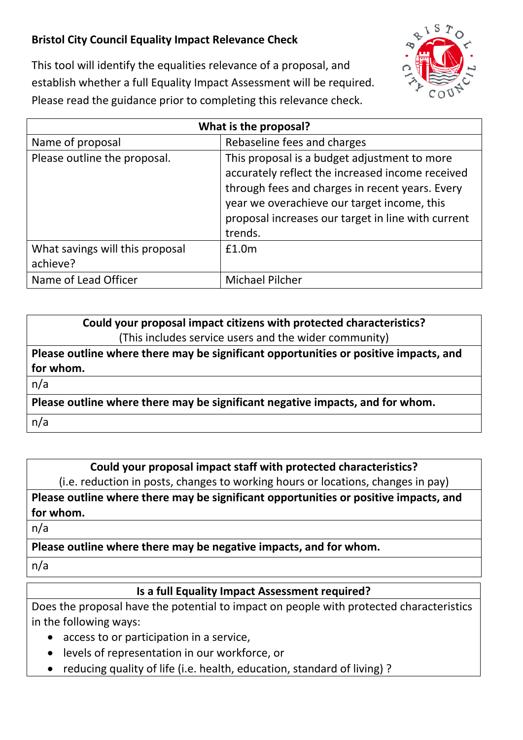## **Bristol City Council Equality Impact Relevance Check**



This tool will identify the equalities relevance of a proposal, and establish whether a full Equality Impact Assessment will be required. Please read the guidance prior to completing this relevance check.

| What is the proposal?           |                                                                                                                                                                                                                                                                     |
|---------------------------------|---------------------------------------------------------------------------------------------------------------------------------------------------------------------------------------------------------------------------------------------------------------------|
| Name of proposal                | Rebaseline fees and charges                                                                                                                                                                                                                                         |
| Please outline the proposal.    | This proposal is a budget adjustment to more<br>accurately reflect the increased income received<br>through fees and charges in recent years. Every<br>year we overachieve our target income, this<br>proposal increases our target in line with current<br>trends. |
| What savings will this proposal | £1.0m                                                                                                                                                                                                                                                               |
| achieve?                        |                                                                                                                                                                                                                                                                     |
| Name of Lead Officer            | <b>Michael Pilcher</b>                                                                                                                                                                                                                                              |

**Could your proposal impact citizens with protected characteristics?** (This includes service users and the wider community)

**Please outline where there may be significant opportunities or positive impacts, and for whom.**

n/a

**Please outline where there may be significant negative impacts, and for whom.** 

n/a

**Could your proposal impact staff with protected characteristics?**

(i.e. reduction in posts, changes to working hours or locations, changes in pay)

**Please outline where there may be significant opportunities or positive impacts, and for whom.**

n/a

**Please outline where there may be negative impacts, and for whom.** 

n/a

## **Is a full Equality Impact Assessment required?**

Does the proposal have the potential to impact on people with protected characteristics in the following ways:

- access to or participation in a service,
- levels of representation in our workforce, or
- reducing quality of life (i.e. health, education, standard of living) ?